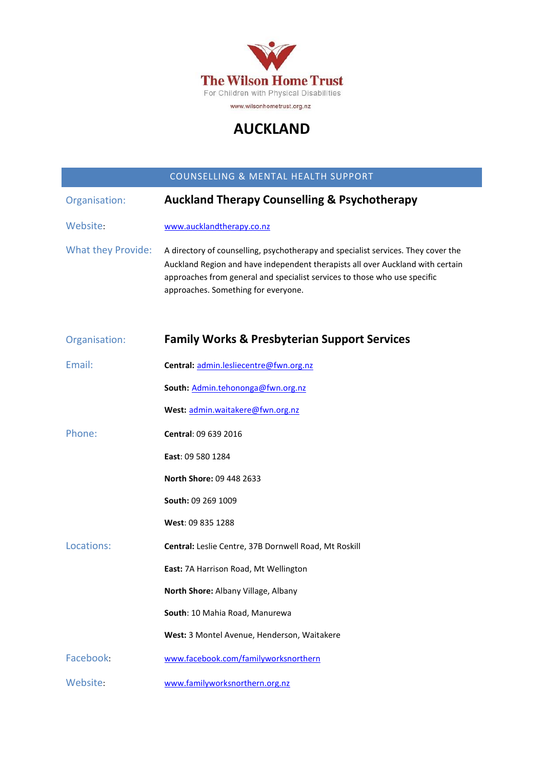

# **AUCKLAND**

#### COUNSELLING & MENTAL HEALTH SUPPORT

| Organisation:             | <b>Auckland Therapy Counselling &amp; Psychotherapy</b>                                                                                                                                                                                                                                 |
|---------------------------|-----------------------------------------------------------------------------------------------------------------------------------------------------------------------------------------------------------------------------------------------------------------------------------------|
| Website:                  | www.aucklandtherapy.co.nz                                                                                                                                                                                                                                                               |
| <b>What they Provide:</b> | A directory of counselling, psychotherapy and specialist services. They cover the<br>Auckland Region and have independent therapists all over Auckland with certain<br>approaches from general and specialist services to those who use specific<br>approaches. Something for everyone. |
| Organisation:             | <b>Family Works &amp; Presbyterian Support Services</b>                                                                                                                                                                                                                                 |
| Email:                    | Central: admin.lesliecentre@fwn.org.nz                                                                                                                                                                                                                                                  |
|                           | South: Admin.tehononga@fwn.org.nz                                                                                                                                                                                                                                                       |
|                           | West: admin.waitakere@fwn.org.nz                                                                                                                                                                                                                                                        |
| Phone:                    | Central: 09 639 2016                                                                                                                                                                                                                                                                    |
|                           | East: 09 580 1284                                                                                                                                                                                                                                                                       |
|                           | North Shore: 09 448 2633                                                                                                                                                                                                                                                                |
|                           | South: 09 269 1009                                                                                                                                                                                                                                                                      |
|                           | West: 09 835 1288                                                                                                                                                                                                                                                                       |
| Locations:                | Central: Leslie Centre, 37B Dornwell Road, Mt Roskill                                                                                                                                                                                                                                   |
|                           | East: 7A Harrison Road, Mt Wellington                                                                                                                                                                                                                                                   |
|                           | North Shore: Albany Village, Albany                                                                                                                                                                                                                                                     |
|                           | South: 10 Mahia Road, Manurewa                                                                                                                                                                                                                                                          |
|                           | West: 3 Montel Avenue, Henderson, Waitakere                                                                                                                                                                                                                                             |
| Facebook:                 | www.facebook.com/familyworksnorthern                                                                                                                                                                                                                                                    |
| Website:                  | www.familyworksnorthern.org.nz                                                                                                                                                                                                                                                          |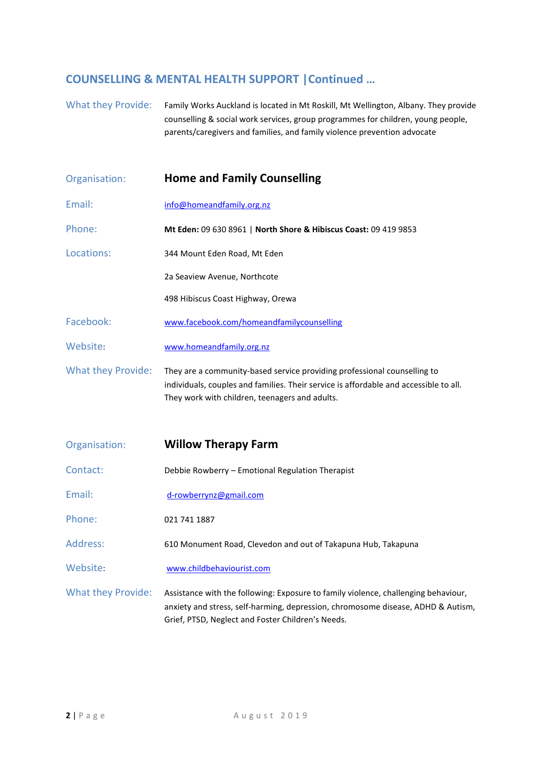#### **COUNSELLING & MENTAL HEALTH SUPPORT |Continued …**

What they Provide: Family Works Auckland is located in Mt Roskill, Mt Wellington, Albany. They provide counselling & social work services, group programmes for children, young people, parents/caregivers and families, and family violence prevention advocate

| Organisation:             | <b>Home and Family Counselling</b>                                                                                                                                                                                          |
|---------------------------|-----------------------------------------------------------------------------------------------------------------------------------------------------------------------------------------------------------------------------|
| Email:                    | info@homeandfamily.org.nz                                                                                                                                                                                                   |
| Phone:                    | Mt Eden: 09 630 8961   North Shore & Hibiscus Coast: 09 419 9853                                                                                                                                                            |
| Locations:                | 344 Mount Eden Road, Mt Eden                                                                                                                                                                                                |
|                           | 2a Seaview Avenue, Northcote                                                                                                                                                                                                |
|                           | 498 Hibiscus Coast Highway, Orewa                                                                                                                                                                                           |
| Facebook:                 | www.facebook.com/homeandfamilycounselling                                                                                                                                                                                   |
| Website:                  | www.homeandfamily.org.nz                                                                                                                                                                                                    |
| <b>What they Provide:</b> | They are a community-based service providing professional counselling to<br>individuals, couples and families. Their service is affordable and accessible to all.<br>They work with children, teenagers and adults.         |
| Organisation:             | <b>Willow Therapy Farm</b>                                                                                                                                                                                                  |
| Contact:                  | Debbie Rowberry - Emotional Regulation Therapist                                                                                                                                                                            |
| Email:                    | d-rowberrynz@gmail.com                                                                                                                                                                                                      |
| Phone:                    | 021 741 1887                                                                                                                                                                                                                |
| Address:                  | 610 Monument Road, Clevedon and out of Takapuna Hub, Takapuna                                                                                                                                                               |
| Website:                  | www.childbehaviourist.com                                                                                                                                                                                                   |
| <b>What they Provide:</b> | Assistance with the following: Exposure to family violence, challenging behaviour,<br>anxiety and stress, self-harming, depression, chromosome disease, ADHD & Autism,<br>Grief, PTSD, Neglect and Foster Children's Needs. |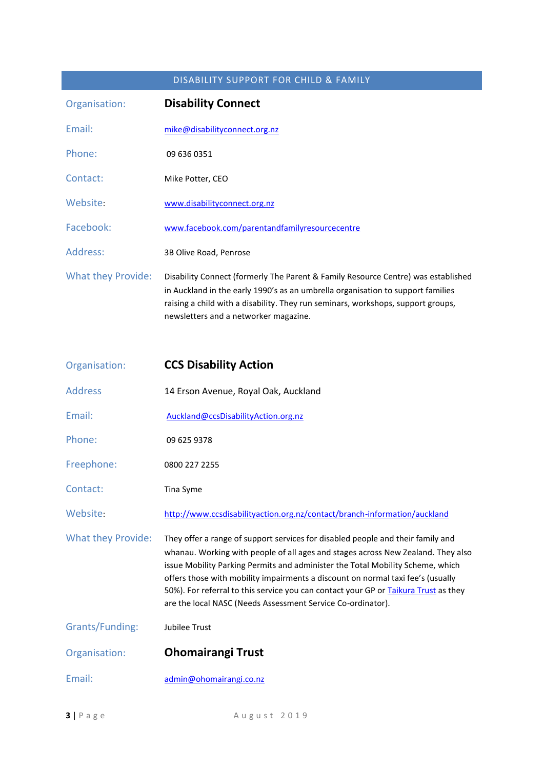#### DISABILITY SUPPORT FOR CHILD & FAMILY

| Organisation:             | <b>Disability Connect</b>                                                                                                                                                                                                                                                                         |
|---------------------------|---------------------------------------------------------------------------------------------------------------------------------------------------------------------------------------------------------------------------------------------------------------------------------------------------|
| Email:                    | mike@disabilityconnect.org.nz                                                                                                                                                                                                                                                                     |
| Phone:                    | 09 636 0351                                                                                                                                                                                                                                                                                       |
| Contact:                  | Mike Potter, CEO                                                                                                                                                                                                                                                                                  |
| Website:                  | www.disabilityconnect.org.nz                                                                                                                                                                                                                                                                      |
| Facebook:                 | www.facebook.com/parentandfamilyresourcecentre                                                                                                                                                                                                                                                    |
| Address:                  | 3B Olive Road, Penrose                                                                                                                                                                                                                                                                            |
| <b>What they Provide:</b> | Disability Connect (formerly The Parent & Family Resource Centre) was established<br>in Auckland in the early 1990's as an umbrella organisation to support families<br>raising a child with a disability. They run seminars, workshops, support groups,<br>newsletters and a networker magazine. |

| Organisation:             | <b>CCS Disability Action</b>                                                                                                                                                                                                                                                                                                                                                                                                                                                                   |
|---------------------------|------------------------------------------------------------------------------------------------------------------------------------------------------------------------------------------------------------------------------------------------------------------------------------------------------------------------------------------------------------------------------------------------------------------------------------------------------------------------------------------------|
| <b>Address</b>            | 14 Erson Avenue, Royal Oak, Auckland                                                                                                                                                                                                                                                                                                                                                                                                                                                           |
| Email:                    | Auckland@ccsDisabilityAction.org.nz                                                                                                                                                                                                                                                                                                                                                                                                                                                            |
| Phone:                    | 09 625 9378                                                                                                                                                                                                                                                                                                                                                                                                                                                                                    |
| Freephone:                | 0800 227 2255                                                                                                                                                                                                                                                                                                                                                                                                                                                                                  |
| Contact:                  | Tina Syme                                                                                                                                                                                                                                                                                                                                                                                                                                                                                      |
| Website:                  | http://www.ccsdisabilityaction.org.nz/contact/branch-information/auckland                                                                                                                                                                                                                                                                                                                                                                                                                      |
| <b>What they Provide:</b> | They offer a range of support services for disabled people and their family and<br>whanau. Working with people of all ages and stages across New Zealand. They also<br>issue Mobility Parking Permits and administer the Total Mobility Scheme, which<br>offers those with mobility impairments a discount on normal taxi fee's (usually<br>50%). For referral to this service you can contact your GP or Taikura Trust as they<br>are the local NASC (Needs Assessment Service Co-ordinator). |
| Grants/Funding:           | Jubilee Trust                                                                                                                                                                                                                                                                                                                                                                                                                                                                                  |
| Organisation:             | <b>Ohomairangi Trust</b>                                                                                                                                                                                                                                                                                                                                                                                                                                                                       |
| Email:                    | admin@ohomairangi.co.nz                                                                                                                                                                                                                                                                                                                                                                                                                                                                        |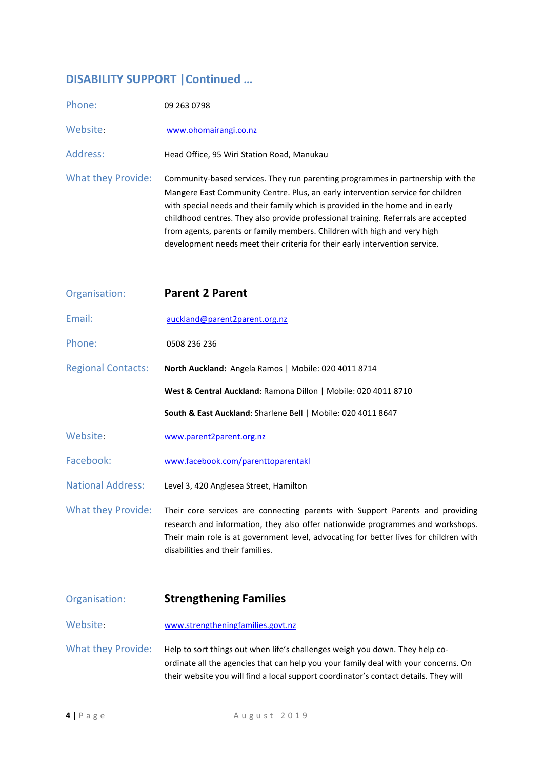## **DISABILITY SUPPORT |Continued …**

| Phone:                    | 09 263 0798                                                                                                                                                                                                                                                                                                                                                                                                                                                                                           |
|---------------------------|-------------------------------------------------------------------------------------------------------------------------------------------------------------------------------------------------------------------------------------------------------------------------------------------------------------------------------------------------------------------------------------------------------------------------------------------------------------------------------------------------------|
| Website:                  | www.ohomairangi.co.nz                                                                                                                                                                                                                                                                                                                                                                                                                                                                                 |
| Address:                  | Head Office, 95 Wiri Station Road, Manukau                                                                                                                                                                                                                                                                                                                                                                                                                                                            |
| <b>What they Provide:</b> | Community-based services. They run parenting programmes in partnership with the<br>Mangere East Community Centre. Plus, an early intervention service for children<br>with special needs and their family which is provided in the home and in early<br>childhood centres. They also provide professional training. Referrals are accepted<br>from agents, parents or family members. Children with high and very high<br>development needs meet their criteria for their early intervention service. |
| Organisation:             | <b>Parent 2 Parent</b>                                                                                                                                                                                                                                                                                                                                                                                                                                                                                |
| Email:                    | auckland@parent2parent.org.nz                                                                                                                                                                                                                                                                                                                                                                                                                                                                         |
| Phone:                    | 0508 236 236                                                                                                                                                                                                                                                                                                                                                                                                                                                                                          |
| <b>Regional Contacts:</b> | North Auckland: Angela Ramos   Mobile: 020 4011 8714                                                                                                                                                                                                                                                                                                                                                                                                                                                  |
|                           | West & Central Auckland: Ramona Dillon   Mobile: 020 4011 8710                                                                                                                                                                                                                                                                                                                                                                                                                                        |
|                           | South & East Auckland: Sharlene Bell   Mobile: 020 4011 8647                                                                                                                                                                                                                                                                                                                                                                                                                                          |
| Website:                  | www.parent2parent.org.nz                                                                                                                                                                                                                                                                                                                                                                                                                                                                              |
| Facebook:                 | www.facebook.com/parenttoparentakl                                                                                                                                                                                                                                                                                                                                                                                                                                                                    |
| <b>National Address:</b>  | Level 3, 420 Anglesea Street, Hamilton                                                                                                                                                                                                                                                                                                                                                                                                                                                                |
| <b>What they Provide:</b> | Their core services are connecting parents with Support Parents and providing<br>research and information, they also offer nationwide programmes and workshops.<br>Their main role is at government level, advocating for better lives for children with<br>disabilities and their families.                                                                                                                                                                                                          |
| Organisation:             | <b>Strengthening Families</b>                                                                                                                                                                                                                                                                                                                                                                                                                                                                         |
| Website:                  | www.strengtheningfamilies.govt.nz                                                                                                                                                                                                                                                                                                                                                                                                                                                                     |

What they Provide: Help to sort things out when life's challenges weigh you down. They help coordinate all the agencies that can help you your family deal with your concerns. On their website you will find a local support coordinator's contact details. They will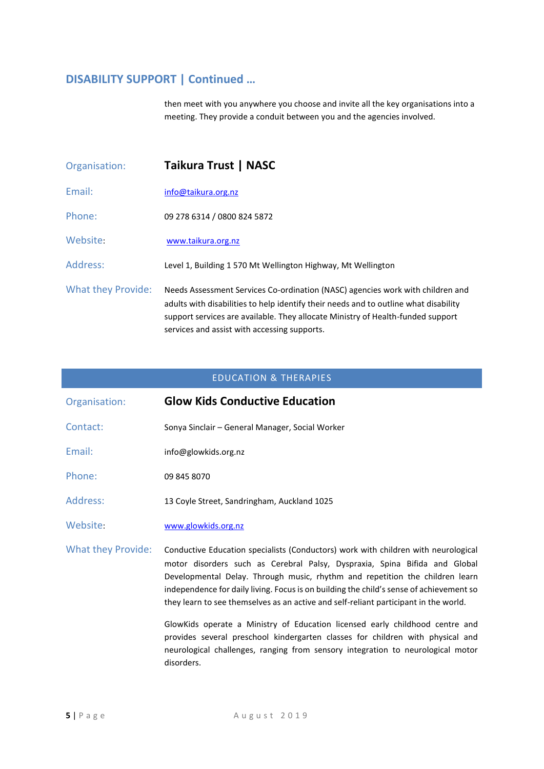# **DISABILITY SUPPORT | Continued …**

then meet with you anywhere you choose and invite all the key organisations into a meeting. They provide a conduit between you and the agencies involved.

| Organisation:      | Taikura Trust   NASC                                                                                                                                                                                                                                                                                      |
|--------------------|-----------------------------------------------------------------------------------------------------------------------------------------------------------------------------------------------------------------------------------------------------------------------------------------------------------|
| Fmail:             | info@taikura.org.nz                                                                                                                                                                                                                                                                                       |
| Phone:             | 09 278 6314 / 0800 824 5872                                                                                                                                                                                                                                                                               |
| Website:           | www.taikura.org.nz                                                                                                                                                                                                                                                                                        |
| Address:           | Level 1, Building 1 570 Mt Wellington Highway, Mt Wellington                                                                                                                                                                                                                                              |
| What they Provide: | Needs Assessment Services Co-ordination (NASC) agencies work with children and<br>adults with disabilities to help identify their needs and to outline what disability<br>support services are available. They allocate Ministry of Health-funded support<br>services and assist with accessing supports. |

#### EDUCATION & THERAPIES

| Organisation:      | <b>Glow Kids Conductive Education</b>                                                                                                                                                                                                                                                                                                                                                                                               |
|--------------------|-------------------------------------------------------------------------------------------------------------------------------------------------------------------------------------------------------------------------------------------------------------------------------------------------------------------------------------------------------------------------------------------------------------------------------------|
| Contact:           | Sonya Sinclair - General Manager, Social Worker                                                                                                                                                                                                                                                                                                                                                                                     |
| Email:             | info@glowkids.org.nz                                                                                                                                                                                                                                                                                                                                                                                                                |
| Phone:             | 09 845 8070                                                                                                                                                                                                                                                                                                                                                                                                                         |
| Address:           | 13 Coyle Street, Sandringham, Auckland 1025                                                                                                                                                                                                                                                                                                                                                                                         |
| Website:           | www.glowkids.org.nz                                                                                                                                                                                                                                                                                                                                                                                                                 |
| What they Provide: | Conductive Education specialists (Conductors) work with children with neurological<br>motor disorders such as Cerebral Palsy, Dyspraxia, Spina Bifida and Global<br>Developmental Delay. Through music, rhythm and repetition the children learn<br>independence for daily living. Focus is on building the child's sense of achievement so<br>they learn to see themselves as an active and self-reliant participant in the world. |
|                    | GlowKids operate a Ministry of Education licensed early childhood centre and<br>provides several preschool kindergarten classes for children with physical and<br>neurological challenges, ranging from sensory integration to neurological motor<br>disorders.                                                                                                                                                                     |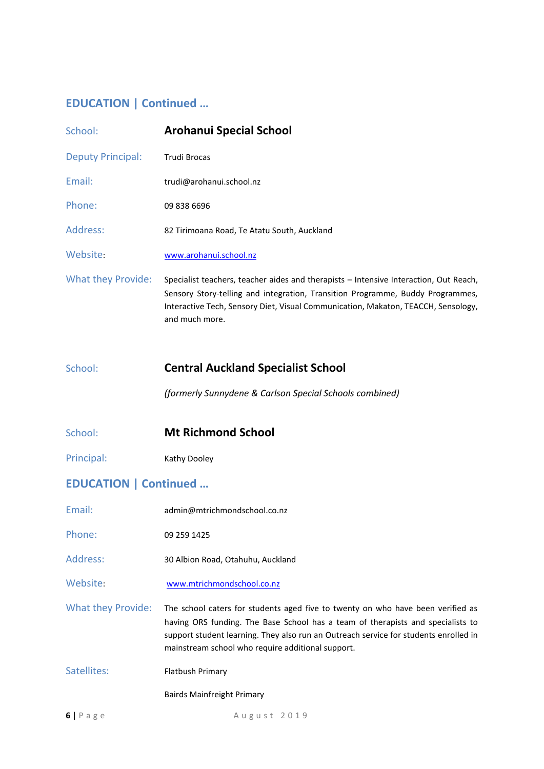## **EDUCATION | Continued …**

| School:                       | <b>Arohanui Special School</b>                                                                                                                                                                                                                                                 |
|-------------------------------|--------------------------------------------------------------------------------------------------------------------------------------------------------------------------------------------------------------------------------------------------------------------------------|
| <b>Deputy Principal:</b>      | Trudi Brocas                                                                                                                                                                                                                                                                   |
| Email:                        | trudi@arohanui.school.nz                                                                                                                                                                                                                                                       |
| Phone:                        | 09 838 6696                                                                                                                                                                                                                                                                    |
| Address:                      | 82 Tirimoana Road, Te Atatu South, Auckland                                                                                                                                                                                                                                    |
| Website:                      | www.arohanui.school.nz                                                                                                                                                                                                                                                         |
| <b>What they Provide:</b>     | Specialist teachers, teacher aides and therapists - Intensive Interaction, Out Reach,<br>Sensory Story-telling and integration, Transition Programme, Buddy Programmes,<br>Interactive Tech, Sensory Diet, Visual Communication, Makaton, TEACCH, Sensology,<br>and much more. |
|                               |                                                                                                                                                                                                                                                                                |
| School:                       | <b>Central Auckland Specialist School</b><br>(formerly Sunnydene & Carlson Special Schools combined)                                                                                                                                                                           |
| School:                       | <b>Mt Richmond School</b>                                                                                                                                                                                                                                                      |
| Principal:                    | Kathy Dooley                                                                                                                                                                                                                                                                   |
| <b>EDUCATION   Continued </b> |                                                                                                                                                                                                                                                                                |
| Email:                        | admin@mtrichmondschool.co.nz                                                                                                                                                                                                                                                   |
| Phone:                        | 09 259 1425                                                                                                                                                                                                                                                                    |
| Address:                      | 30 Albion Road, Otahuhu, Auckland                                                                                                                                                                                                                                              |

What they Provide: The school caters for students aged five to twenty on who have been verified as having ORS funding. The Base School has a team of therapists and specialists to support student learning. They also run an Outreach service for students enrolled in mainstream school who require additional support.

Satellites: Flatbush Primary

Bairds Mainfreight Primary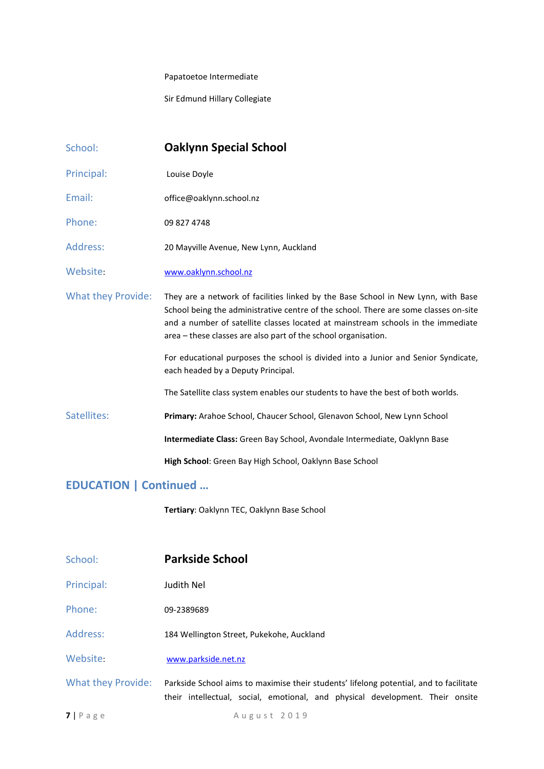#### Papatoetoe Intermediate

Sir Edmund Hillary Collegiate

| School:                   | <b>Oaklynn Special School</b>                                                                                                                                                                                                                                                                                                   |
|---------------------------|---------------------------------------------------------------------------------------------------------------------------------------------------------------------------------------------------------------------------------------------------------------------------------------------------------------------------------|
| Principal:                | Louise Doyle                                                                                                                                                                                                                                                                                                                    |
| Email:                    | office@oaklynn.school.nz                                                                                                                                                                                                                                                                                                        |
| Phone:                    | 09 827 4748                                                                                                                                                                                                                                                                                                                     |
| Address:                  | 20 Mayville Avenue, New Lynn, Auckland                                                                                                                                                                                                                                                                                          |
| Website:                  | www.oaklynn.school.nz                                                                                                                                                                                                                                                                                                           |
| <b>What they Provide:</b> | They are a network of facilities linked by the Base School in New Lynn, with Base<br>School being the administrative centre of the school. There are some classes on-site<br>and a number of satellite classes located at mainstream schools in the immediate<br>area - these classes are also part of the school organisation. |
|                           | For educational purposes the school is divided into a Junior and Senior Syndicate,<br>each headed by a Deputy Principal.                                                                                                                                                                                                        |
|                           | The Satellite class system enables our students to have the best of both worlds.                                                                                                                                                                                                                                                |
| Satellites:               | Primary: Arahoe School, Chaucer School, Glenavon School, New Lynn School                                                                                                                                                                                                                                                        |
|                           | Intermediate Class: Green Bay School, Avondale Intermediate, Oaklynn Base                                                                                                                                                                                                                                                       |
|                           | High School: Green Bay High School, Oaklynn Base School                                                                                                                                                                                                                                                                         |

## **EDUCATION | Continued …**

**Tertiary**: Oaklynn TEC, Oaklynn Base School

| School:            | <b>Parkside School</b>                                                                                                                                                  |
|--------------------|-------------------------------------------------------------------------------------------------------------------------------------------------------------------------|
| Principal:         | Judith Nel                                                                                                                                                              |
| Phone:             | 09-2389689                                                                                                                                                              |
| Address:           | 184 Wellington Street, Pukekohe, Auckland                                                                                                                               |
| Website:           | www.parkside.net.nz                                                                                                                                                     |
| What they Provide: | Parkside School aims to maximise their students' lifelong potential, and to facilitate<br>their intellectual, social, emotional, and physical development. Their onsite |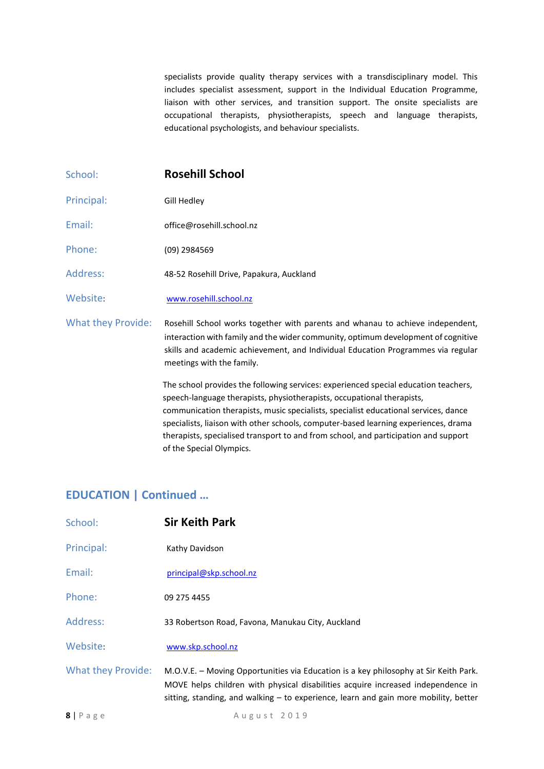specialists provide quality therapy services with a transdisciplinary model. This includes specialist assessment, support in the Individual Education Programme, liaison with other services, and transition support. The onsite specialists are occupational therapists, physiotherapists, speech and language therapists, educational psychologists, and behaviour specialists.

| School:            | <b>Rosehill School</b>                                                                                                                                                                                                                                                                                                                                                                                                                                         |
|--------------------|----------------------------------------------------------------------------------------------------------------------------------------------------------------------------------------------------------------------------------------------------------------------------------------------------------------------------------------------------------------------------------------------------------------------------------------------------------------|
| Principal:         | Gill Hedley                                                                                                                                                                                                                                                                                                                                                                                                                                                    |
| Email:             | office@rosehill.school.nz                                                                                                                                                                                                                                                                                                                                                                                                                                      |
| Phone:             | (09) 2984569                                                                                                                                                                                                                                                                                                                                                                                                                                                   |
| Address:           | 48-52 Rosehill Drive, Papakura, Auckland                                                                                                                                                                                                                                                                                                                                                                                                                       |
| Website:           | www.rosehill.school.nz                                                                                                                                                                                                                                                                                                                                                                                                                                         |
| What they Provide: | Rosehill School works together with parents and whanau to achieve independent,<br>interaction with family and the wider community, optimum development of cognitive<br>skills and academic achievement, and Individual Education Programmes via regular<br>meetings with the family.                                                                                                                                                                           |
|                    | The school provides the following services: experienced special education teachers,<br>speech-language therapists, physiotherapists, occupational therapists,<br>communication therapists, music specialists, specialist educational services, dance<br>specialists, liaison with other schools, computer-based learning experiences, drama<br>therapists, specialised transport to and from school, and participation and support<br>of the Special Olympics. |

## **EDUCATION | Continued …**

| School:                   | <b>Sir Keith Park</b>                                                                                                                                                                                                                                              |
|---------------------------|--------------------------------------------------------------------------------------------------------------------------------------------------------------------------------------------------------------------------------------------------------------------|
| Principal:                | Kathy Davidson                                                                                                                                                                                                                                                     |
| Email:                    | principal@skp.school.nz                                                                                                                                                                                                                                            |
| Phone:                    | 09 275 4455                                                                                                                                                                                                                                                        |
| Address:                  | 33 Robertson Road, Favona, Manukau City, Auckland                                                                                                                                                                                                                  |
| Website:                  | www.skp.school.nz                                                                                                                                                                                                                                                  |
| <b>What they Provide:</b> | M.O.V.E. - Moving Opportunities via Education is a key philosophy at Sir Keith Park.<br>MOVE helps children with physical disabilities acquire increased independence in<br>sitting, standing, and walking $-$ to experience, learn and gain more mobility, better |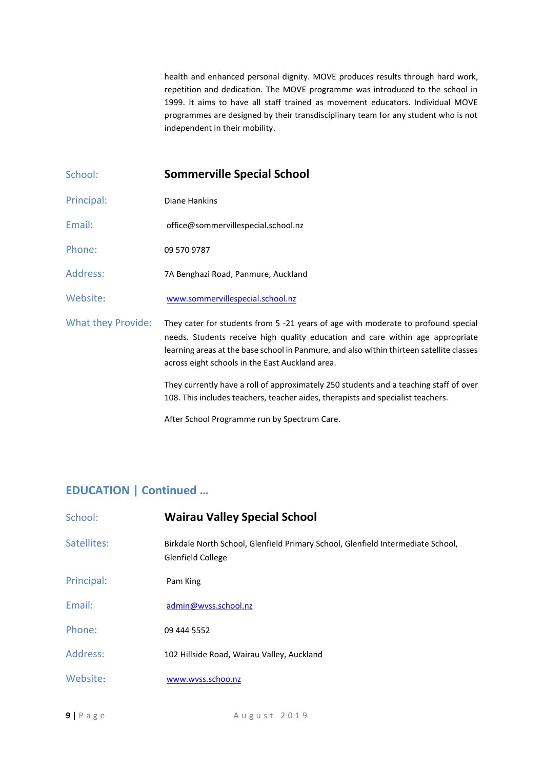health and enhanced personal dignity. MOVE produces results through hard work, repetition and dedication. The MOVE programme was introduced to the school in 1999. It aims to have all staff trained as movement educators. Individual MOVE programmes are designed by their transdisciplinary team for any student who is not independent in their mobility.

- School: **Sommerville Special School**
- Principal: Diane Hankins
- Email: office@sommervillespecial.school.nz
- Phone: 09 570 9787
- Address: 7A Benghazi Road, Panmure, Auckland
- Website: [www.sommervillespecial.school.nz](http://www.sommervillespecial.school.nz/)

What they Provide: They cater for students from 5 -21 years of age with moderate to profound special needs. Students receive high quality education and care within age appropriate learning areas at the base school in Panmure, and also within thirteen satellite classes across eight schools in the East Auckland area.

> They currently have a roll of approximately 250 students and a teaching staff of over 108. This includes teachers, teacher aides, therapists and specialist teachers.

After School Programme run by Spectrum Care.

#### **EDUCATION | Continued …**

| School:     | <b>Wairau Valley Special School</b>                                                                         |
|-------------|-------------------------------------------------------------------------------------------------------------|
| Satellites: | Birkdale North School, Glenfield Primary School, Glenfield Intermediate School,<br><b>Glenfield College</b> |
| Principal:  | Pam King                                                                                                    |
| Email:      | admin@wyss.school.nz                                                                                        |
| Phone:      | 09 444 5552                                                                                                 |
| Address:    | 102 Hillside Road, Wairau Valley, Auckland                                                                  |
| Website:    | www.wyss.schoo.nz                                                                                           |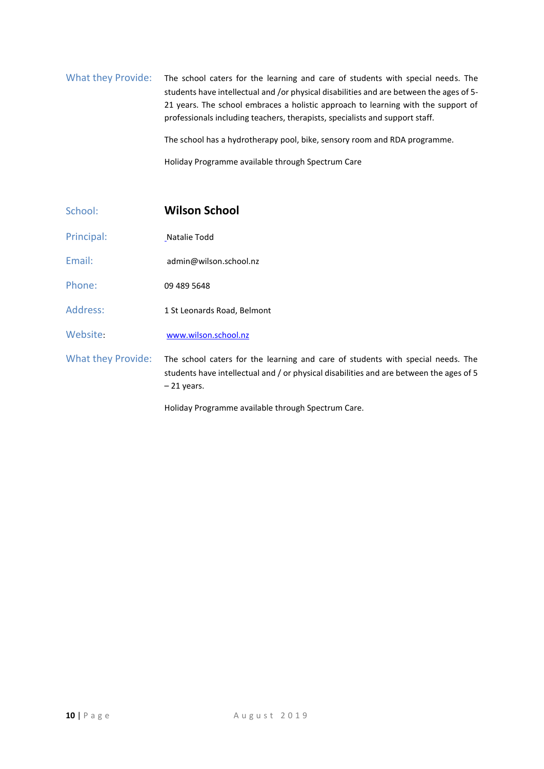## What they Provide: The school caters for the learning and care of students with special needs. The students have intellectual and /or physical disabilities and are between the ages of 5- 21 years. The school embraces a holistic approach to learning with the support of professionals including teachers, therapists, specialists and support staff. The school has a hydrotherapy pool, bike, sensory room and RDA programme.

Holiday Programme available through Spectrum Care

| School:                   | <b>Wilson School</b>                                                                                                                                                                       |
|---------------------------|--------------------------------------------------------------------------------------------------------------------------------------------------------------------------------------------|
| Principal:                | Natalie Todd                                                                                                                                                                               |
| Email:                    | admin@wilson.school.nz                                                                                                                                                                     |
| Phone:                    | 09 489 5648                                                                                                                                                                                |
| Address:                  | 1 St Leonards Road, Belmont                                                                                                                                                                |
| Website:                  | www.wilson.school.nz                                                                                                                                                                       |
| <b>What they Provide:</b> | The school caters for the learning and care of students with special needs. The<br>students have intellectual and / or physical disabilities and are between the ages of 5<br>$-21$ years. |
|                           | Holiday Programme available through Spectrum Care.                                                                                                                                         |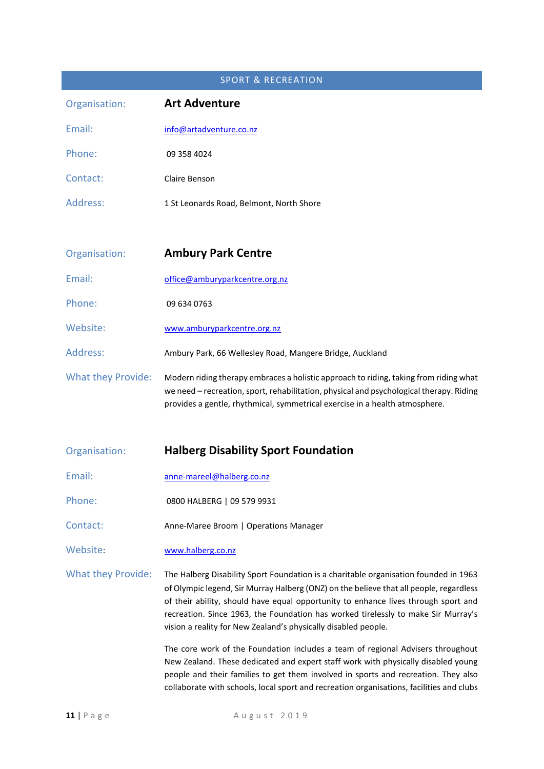# SPORT & RECREATION Organisation: **Art Adventure** Email: info@artadventure.co.nz Phone: 09 358 4024 Contact: Claire Benson Address: 1 St Leonards Road, Belmont, North Shore Organisation: **Ambury Park Centre** Email: [office@amburyparkcentre.org.nz](mailto:office@amburyparkcentre.org.nz)  Phone: 09 634 0763 Website: www.amburyparkcentre.org.nz Address: Ambury Park, 66 Wellesley Road, Mangere Bridge, Auckland What they Provide: Modern riding therapy embraces a holistic approach to riding, taking from riding what we need – recreation, sport, rehabilitation, physical and psychological therapy. Riding provides a gentle, rhythmical, symmetrical exercise in a health atmosphere. Organisation: **Halberg Disability Sport Foundation** Email: [anne-mareel@halberg.co.nz](mailto:anne-mareel@halberg.co.nz) Phone: 0800 HALBERG | 09 579 9931 Contact: Anne-Maree Broom | Operations Manager Website: [www.halberg.co.nz](http://www.halberg.co.nz/) What they Provide: The Halberg Disability Sport Foundation is a charitable organisation founded in 1963

of Olympic legend, Sir Murray Halberg (ONZ) on the believe that all people, regardless of their ability, should have equal opportunity to enhance lives through sport and recreation. Since 1963, the Foundation has worked tirelessly to make Sir Murray's vision a reality for New Zealand's physically disabled people.

> The core work of the Foundation includes a team of regional Advisers throughout New Zealand. These dedicated and expert staff work with physically disabled young people and their families to get them involved in sports and recreation. They also collaborate with schools, local sport and recreation organisations, facilities and clubs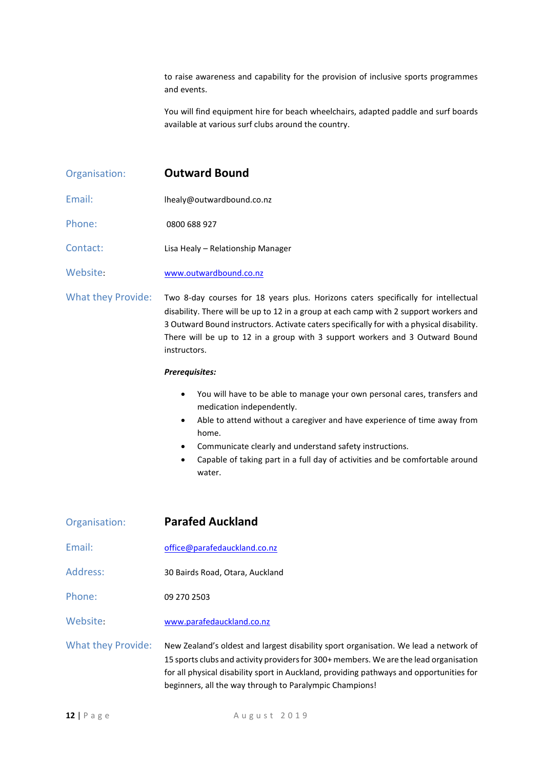to raise awareness and capability for the provision of inclusive sports programmes and events.

You will find equipment hire for beach wheelchairs, adapted paddle and surf boards available at various surf clubs around the country.

- Organisation: **Outward Bound**
- Email: lhealy@outwardbound.co.nz
- Phone: 0800 688 927
- Contact: Lisa Healy Relationship Manager

Website: [www.outwardbound.co.nz](http://www.outwardbound.co.nz/)

What they Provide: Two 8-day courses for 18 years plus. Horizons caters specifically for intellectual disability. There will be up to 12 in a group at each camp with 2 support workers and 3 Outward Bound instructors. Activate caters specifically for with a physical disability. There will be up to 12 in a group with 3 support workers and 3 Outward Bound instructors.

#### *Prerequisites:*

- You will have to be able to manage your own personal cares, transfers and medication independently.
- Able to attend without a caregiver and have experience of time away from home.
- Communicate clearly and understand safety instructions.
- Capable of taking part in a full day of activities and be comfortable around water.

| Organisation:             | <b>Parafed Auckland</b>                                                        |
|---------------------------|--------------------------------------------------------------------------------|
| Email:                    | office@parafedauckland.co.nz                                                   |
| <b>Address:</b>           | 30 Bairds Road, Otara, Auckland                                                |
| Phone:                    | 09 270 2503                                                                    |
| Website:                  | www.parafedauckland.co.nz                                                      |
| <b>What they Provide:</b> | New Zealand's oldest and largest dis<br>15 sports clubs and activity providers |

ability sport organisation. We lead a network of for 300+ members. We are the lead organisation for all physical disability sport in Auckland, providing pathways and opportunities for beginners, all the way through to Paralympic Champions!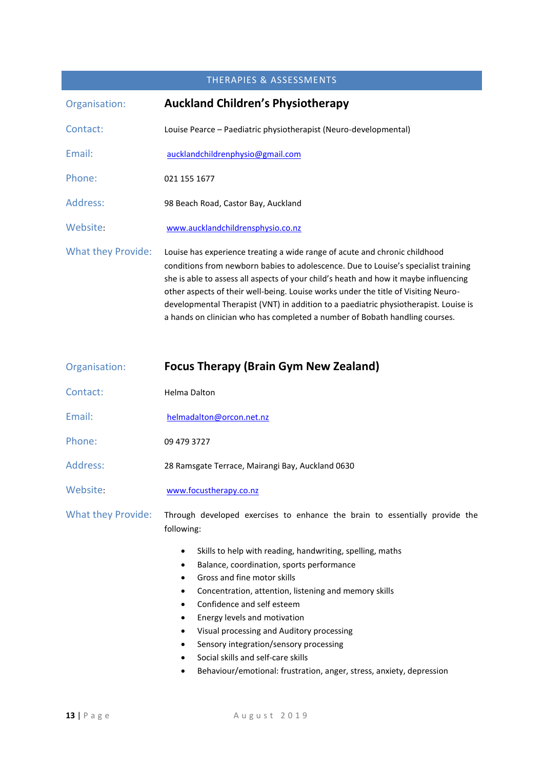#### THERAPIES & ASSESSMENTS

| Organisation:             | <b>Auckland Children's Physiotherapy</b>                                                                                                                                                                                                                                                                                                                                                                                                                                                                              |
|---------------------------|-----------------------------------------------------------------------------------------------------------------------------------------------------------------------------------------------------------------------------------------------------------------------------------------------------------------------------------------------------------------------------------------------------------------------------------------------------------------------------------------------------------------------|
| Contact:                  | Louise Pearce – Paediatric physiotherapist (Neuro-developmental)                                                                                                                                                                                                                                                                                                                                                                                                                                                      |
| Email:                    | aucklandchildrenphysio@gmail.com                                                                                                                                                                                                                                                                                                                                                                                                                                                                                      |
| Phone:                    | 021 155 1677                                                                                                                                                                                                                                                                                                                                                                                                                                                                                                          |
| Address:                  | 98 Beach Road, Castor Bay, Auckland                                                                                                                                                                                                                                                                                                                                                                                                                                                                                   |
| Website:                  | www.aucklandchildrensphysio.co.nz                                                                                                                                                                                                                                                                                                                                                                                                                                                                                     |
| <b>What they Provide:</b> | Louise has experience treating a wide range of acute and chronic childhood<br>conditions from newborn babies to adolescence. Due to Louise's specialist training<br>she is able to assess all aspects of your child's heath and how it maybe influencing<br>other aspects of their well-being. Louise works under the title of Visiting Neuro-<br>developmental Therapist (VNT) in addition to a paediatric physiotherapist. Louise is<br>a hands on clinician who has completed a number of Bobath handling courses. |

| Organisation:      | <b>Focus Therapy (Brain Gym New Zealand)</b>                                                                                                                                                                                                                                                                                                                                                   |
|--------------------|------------------------------------------------------------------------------------------------------------------------------------------------------------------------------------------------------------------------------------------------------------------------------------------------------------------------------------------------------------------------------------------------|
| Contact:           | <b>Helma Dalton</b>                                                                                                                                                                                                                                                                                                                                                                            |
| Email:             | helmadalton@orcon.net.nz                                                                                                                                                                                                                                                                                                                                                                       |
| Phone:             | 09 479 3727                                                                                                                                                                                                                                                                                                                                                                                    |
| Address:           | 28 Ramsgate Terrace, Mairangi Bay, Auckland 0630                                                                                                                                                                                                                                                                                                                                               |
| Website:           | www.focustherapy.co.nz                                                                                                                                                                                                                                                                                                                                                                         |
| What they Provide: | Through developed exercises to enhance the brain to essentially provide the<br>following:                                                                                                                                                                                                                                                                                                      |
|                    | Skills to help with reading, handwriting, spelling, maths<br>٠<br>Balance, coordination, sports performance<br>٠<br>Gross and fine motor skills<br>٠<br>Concentration, attention, listening and memory skills<br>٠<br>Confidence and self esteem<br>$\bullet$<br>Energy levels and motivation<br>٠<br>Visual processing and Auditory processing<br>Sensory integration/sensory processing<br>٠ |

- Social skills and self-care skills
- Behaviour/emotional: frustration, anger, stress, anxiety, depression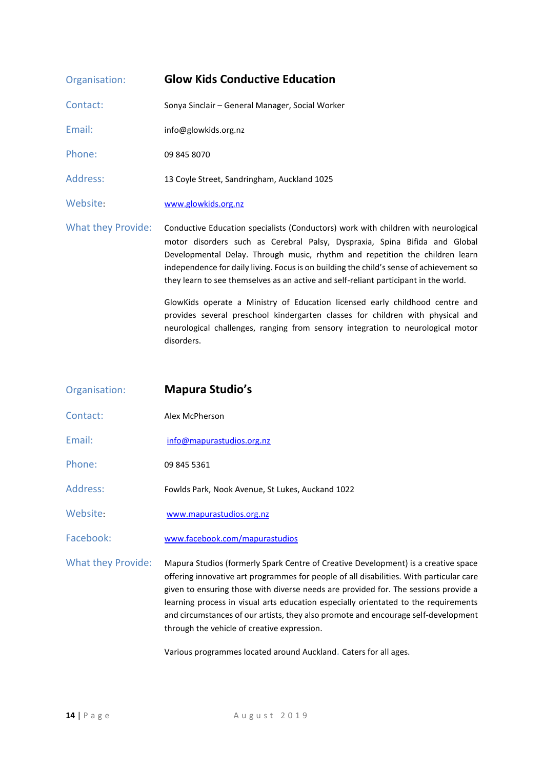| Organisation:             | <b>Glow Kids Conductive Education</b>                                                                                                                                                                                                                                                                                                                                                                                               |
|---------------------------|-------------------------------------------------------------------------------------------------------------------------------------------------------------------------------------------------------------------------------------------------------------------------------------------------------------------------------------------------------------------------------------------------------------------------------------|
| Contact:                  | Sonya Sinclair - General Manager, Social Worker                                                                                                                                                                                                                                                                                                                                                                                     |
| Email:                    | info@glowkids.org.nz                                                                                                                                                                                                                                                                                                                                                                                                                |
| Phone:                    | 09 845 8070                                                                                                                                                                                                                                                                                                                                                                                                                         |
| Address:                  | 13 Coyle Street, Sandringham, Auckland 1025                                                                                                                                                                                                                                                                                                                                                                                         |
| Website:                  | www.glowkids.org.nz                                                                                                                                                                                                                                                                                                                                                                                                                 |
| <b>What they Provide:</b> | Conductive Education specialists (Conductors) work with children with neurological<br>motor disorders such as Cerebral Palsy, Dyspraxia, Spina Bifida and Global<br>Developmental Delay. Through music, rhythm and repetition the children learn<br>independence for daily living. Focus is on building the child's sense of achievement so<br>they learn to see themselves as an active and self-reliant participant in the world. |
|                           | GlowKids operate a Ministry of Education licensed early childhood centre and<br>provides several preschool kindergarten classes for children with physical and<br>neurological challenges, ranging from sensory integration to neurological motor<br>disorders.                                                                                                                                                                     |

| Organisation:             | <b>Mapura Studio's</b>                                                                                                                                                                                                                                                                                                                                                                                                                                                                           |
|---------------------------|--------------------------------------------------------------------------------------------------------------------------------------------------------------------------------------------------------------------------------------------------------------------------------------------------------------------------------------------------------------------------------------------------------------------------------------------------------------------------------------------------|
| Contact:                  | Alex McPherson                                                                                                                                                                                                                                                                                                                                                                                                                                                                                   |
| Email:                    | info@mapurastudios.org.nz                                                                                                                                                                                                                                                                                                                                                                                                                                                                        |
| Phone:                    | 09 845 5361                                                                                                                                                                                                                                                                                                                                                                                                                                                                                      |
| Address:                  | Fowlds Park, Nook Avenue, St Lukes, Auckand 1022                                                                                                                                                                                                                                                                                                                                                                                                                                                 |
| Website:                  | www.mapurastudios.org.nz                                                                                                                                                                                                                                                                                                                                                                                                                                                                         |
| Facebook:                 | www.facebook.com/mapurastudios                                                                                                                                                                                                                                                                                                                                                                                                                                                                   |
| <b>What they Provide:</b> | Mapura Studios (formerly Spark Centre of Creative Development) is a creative space<br>offering innovative art programmes for people of all disabilities. With particular care<br>given to ensuring those with diverse needs are provided for. The sessions provide a<br>learning process in visual arts education especially orientated to the requirements<br>and circumstances of our artists, they also promote and encourage self-development<br>through the vehicle of creative expression. |

Various programmes located around Auckland. Caters for all ages.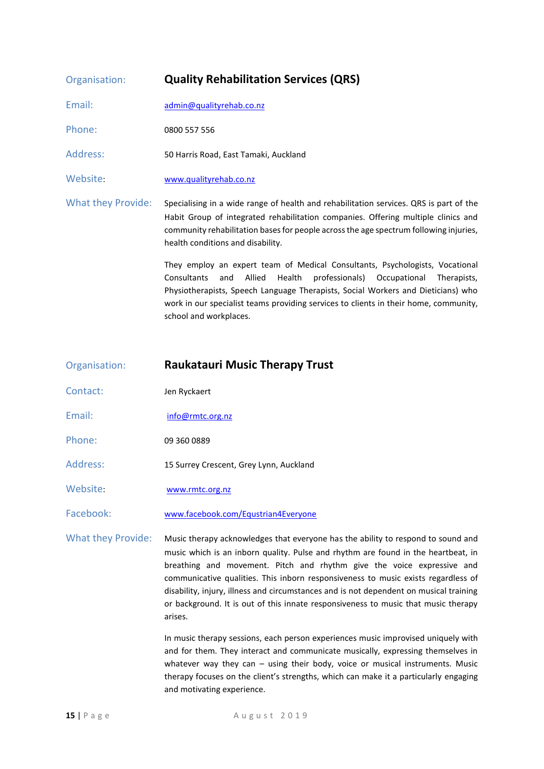| Organisation:             | <b>Quality Rehabilitation Services (QRS)</b>                                                                                                                                                                                                                                                                                                                               |
|---------------------------|----------------------------------------------------------------------------------------------------------------------------------------------------------------------------------------------------------------------------------------------------------------------------------------------------------------------------------------------------------------------------|
| Email:                    | admin@qualityrehab.co.nz                                                                                                                                                                                                                                                                                                                                                   |
| Phone:                    | 0800 557 556                                                                                                                                                                                                                                                                                                                                                               |
| Address:                  | 50 Harris Road, East Tamaki, Auckland                                                                                                                                                                                                                                                                                                                                      |
| Website:                  | www.qualityrehab.co.nz                                                                                                                                                                                                                                                                                                                                                     |
| <b>What they Provide:</b> | Specialising in a wide range of health and rehabilitation services. QRS is part of the<br>Habit Group of integrated rehabilitation companies. Offering multiple clinics and<br>community rehabilitation bases for people across the age spectrum following injuries,<br>health conditions and disability.                                                                  |
|                           | They employ an expert team of Medical Consultants, Psychologists, Vocational<br>Consultants<br>Allied<br>Health<br>professionals) Occupational<br>and<br>Therapists,<br>Physiotherapists, Speech Language Therapists, Social Workers and Dieticians) who<br>work in our specialist teams providing services to clients in their home, community,<br>school and workplaces. |

#### Organisation: **Raukatauri Music Therapy Trust**

- Contact: Jen Ryckaert
- Email: [info@rmtc.org.nz](mailto:info@rmtc.org.nz)
- Phone: 09 360 0889
- Address: 15 Surrey Crescent, Grey Lynn, Auckland
- Website: [www.rmtc.org.nz](http://www.rmtc.org.nz/)

Facebook: [www.facebook.com/Equstrian4Everyone](http://www.facebook.com/Equstrian4Everyone)

What they Provide: Music therapy acknowledges that everyone has the ability to respond to sound and music which is an inborn quality. Pulse and rhythm are found in the heartbeat, in breathing and movement. Pitch and rhythm give the voice expressive and communicative qualities. This inborn responsiveness to music exists regardless of disability, injury, illness and circumstances and is not dependent on musical training or background. It is out of this innate responsiveness to music that music therapy arises.

> In music therapy sessions, each person experiences music improvised uniquely with and for them. They interact and communicate musically, expressing themselves in whatever way they can - using their body, voice or musical instruments. Music therapy focuses on the client's strengths, which can make it a particularly engaging and motivating experience.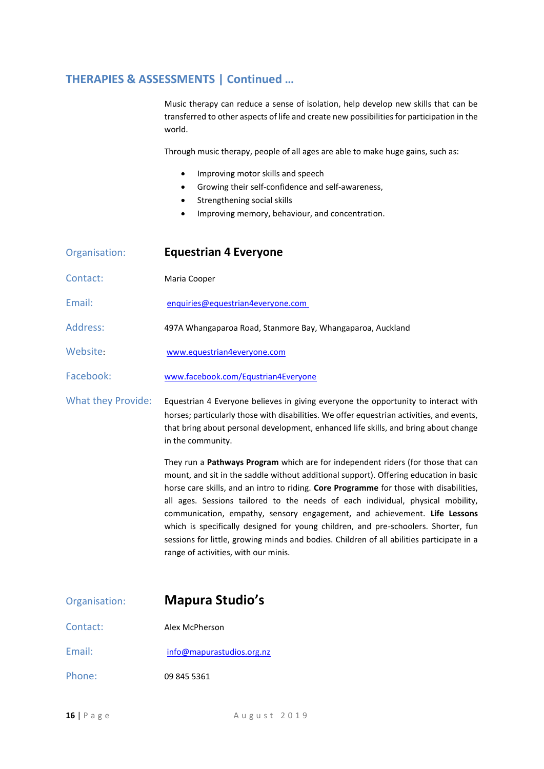#### **THERAPIES & ASSESSMENTS | Continued …**

Music therapy can reduce a sense of isolation, help develop new skills that can be transferred to other aspects of life and create new possibilities for participation in the world.

Through music therapy, people of all ages are able to make huge gains, such as:

- Improving motor skills and speech
- Growing their self-confidence and self-awareness,
- Strengthening social skills
- Improving memory, behaviour, and concentration.

| Organisation:             | <b>Equestrian 4 Everyone</b>                                                                                                                                                                                                                                                                |
|---------------------------|---------------------------------------------------------------------------------------------------------------------------------------------------------------------------------------------------------------------------------------------------------------------------------------------|
| Contact:                  | Maria Cooper                                                                                                                                                                                                                                                                                |
| Email:                    | enquiries@equestrian4everyone.com                                                                                                                                                                                                                                                           |
| Address:                  | 497A Whangaparoa Road, Stanmore Bay, Whangaparoa, Auckland                                                                                                                                                                                                                                  |
| Website:                  | www.equestrian4everyone.com                                                                                                                                                                                                                                                                 |
| Facebook:                 | www.facebook.com/Equstrian4Everyone                                                                                                                                                                                                                                                         |
| <b>What they Provide:</b> | Equestrian 4 Everyone believes in giving everyone the opportunity to interact with<br>horses; particularly those with disabilities. We offer equestrian activities, and events,<br>that bring about personal development, enhanced life skills, and bring about change<br>in the community. |

They run a **Pathways Program** which are for independent riders (for those that can mount, and sit in the saddle without additional support). Offering education in basic horse care skills, and an intro to riding. **Core Programme** for those with disabilities, all ages. Sessions tailored to the needs of each individual, physical mobility, communication, empathy, sensory engagement, and achievement. **Life Lessons** which is specifically designed for young children, and pre-schoolers. Shorter, fun sessions for little, growing minds and bodies. Children of all abilities participate in a range of activities, with our minis.

## Organisation: **Mapura Studio's**

- Contact: Alex McPherson
- Email: [info@mapurastudios.org.nz](mailto:info@mapurastudios.org.nz)
- Phone: 09 845 5361